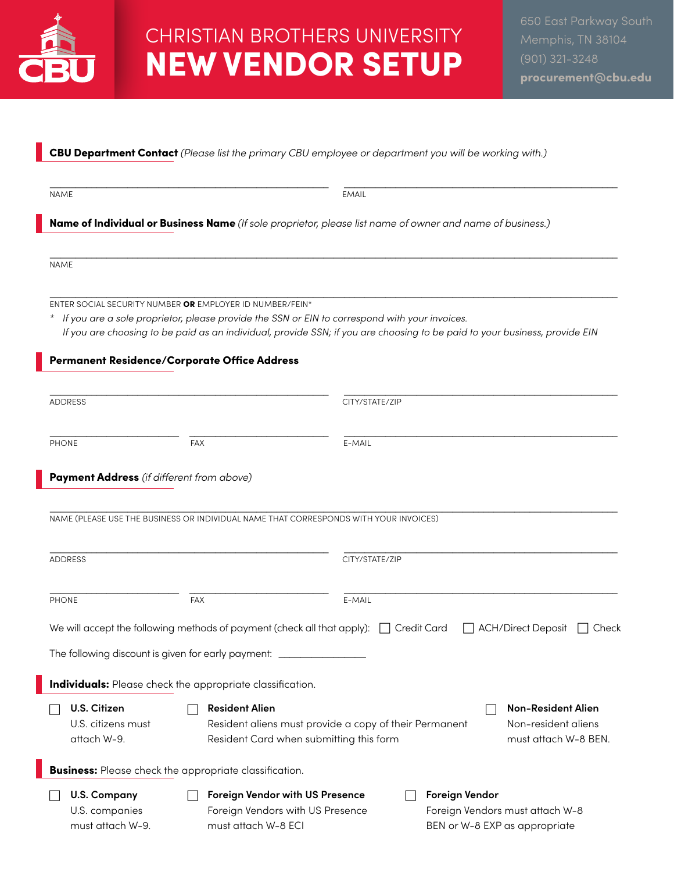

## CHRISTIAN BROTHERS UNIVERSITY NEW VENDOR SETUP

### CBU Department Contact *(Please list the primary CBU employee or department you will be working with.)*

\_\_\_\_\_\_\_\_\_\_\_\_\_\_\_\_\_\_\_\_\_\_\_\_\_\_\_\_\_\_\_\_\_\_\_\_\_\_\_\_\_\_\_\_\_\_\_\_\_\_\_\_\_\_ \_\_\_\_\_\_\_\_\_\_\_\_\_\_\_\_\_\_\_\_\_\_\_\_\_\_\_\_\_\_\_\_\_\_\_\_\_\_\_\_\_\_\_\_\_\_\_\_\_\_\_\_\_ NAME EMAIL CONTROL CONTROL CONTROL CONTROL CONTROL CONTROL CONTROL CONTROL CONTROL CONTROL CONTROL CONTROL CONTROL CONTROL CONTROL CONTROL CONTROL CONTROL CONTROL CONTROL CONTROL CONTROL CONTROL CONTROL CONTROL CONTROL CON

Name of Individual or Business Name *(If sole proprietor, please list name of owner and name of business.)*

\_\_\_\_\_\_\_\_\_\_\_\_\_\_\_\_\_\_\_\_\_\_\_\_\_\_\_\_\_\_\_\_\_\_\_\_\_\_\_\_\_\_\_\_\_\_\_\_\_\_\_\_\_\_\_\_\_\_\_\_\_\_\_\_\_\_\_\_\_\_\_\_\_\_\_\_\_\_\_\_\_\_\_\_\_\_\_\_\_\_\_\_\_\_\_\_\_\_\_\_\_\_\_\_\_\_\_\_\_\_ NAME

\_\_\_\_\_\_\_\_\_\_\_\_\_\_\_\_\_\_\_\_\_\_\_\_\_\_\_\_\_\_\_\_\_\_\_\_\_\_\_\_\_\_\_\_\_\_\_\_\_\_\_\_\_\_\_\_\_\_\_\_\_\_\_\_\_\_\_\_\_\_\_\_\_\_\_\_\_\_\_\_\_\_\_\_\_\_\_\_\_\_\_\_\_\_\_\_\_\_\_\_\_\_\_\_\_\_\_\_\_\_ ENTER SOCIAL SECURITY NUMBER OR EMPLOYER ID NUMBER/FEIN\*

*\* If you are a sole proprietor, please provide the SSN or EIN to correspond with your invoices. If you are choosing to be paid as an individual, provide SSN; if you are choosing to be paid to your business, provide EIN*

#### Permanent Residence/Corporate Office Address

|              | <b>ADDRESS</b>                                                   |            |                                                                                                                                                                                                        | CITY/STATE/ZIP     |                                                 |                                    |  |
|--------------|------------------------------------------------------------------|------------|--------------------------------------------------------------------------------------------------------------------------------------------------------------------------------------------------------|--------------------|-------------------------------------------------|------------------------------------|--|
| <b>PHONE</b> |                                                                  |            | <b>FAX</b>                                                                                                                                                                                             | E-MAIL             |                                                 |                                    |  |
|              | Payment Address (if different from above)                        |            |                                                                                                                                                                                                        |                    |                                                 |                                    |  |
|              |                                                                  |            | NAME (PLEASE USE THE BUSINESS OR INDIVIDUAL NAME THAT CORRESPONDS WITH YOUR INVOICES)                                                                                                                  |                    |                                                 |                                    |  |
|              | <b>ADDRESS</b>                                                   |            |                                                                                                                                                                                                        | CITY/STATE/ZIP     |                                                 |                                    |  |
| <b>PHONE</b> |                                                                  | <b>FAX</b> |                                                                                                                                                                                                        | E-MAIL             |                                                 |                                    |  |
|              | The following discount is given for early payment: _             |            | We will accept the following methods of payment (check all that apply):                                                                                                                                | <b>Credit Card</b> |                                                 | <b>ACH/Direct Deposit</b><br>Check |  |
|              | <b>Individuals:</b> Please check the appropriate classification. |            |                                                                                                                                                                                                        |                    |                                                 |                                    |  |
|              | U.S. Citizen<br>U.S. citizens must<br>attach W-9.                |            | <b>Resident Alien</b><br><b>Non-Resident Alien</b><br>Resident aliens must provide a copy of their Permanent<br>Non-resident aliens<br>Resident Card when submitting this form<br>must attach W-8 BEN. |                    |                                                 |                                    |  |
|              | <b>Business:</b> Please check the appropriate classification.    |            |                                                                                                                                                                                                        |                    |                                                 |                                    |  |
|              | <b>U.S. Company</b><br>U.S. companies<br>must attach W-9.        |            | Foreign Vendor with US Presence<br>Foreign Vendors with US Presence<br>must attach W-8 ECI                                                                                                             |                    | Foreign Vendor<br>BEN or W-8 EXP as appropriate | Foreign Vendors must attach W-8    |  |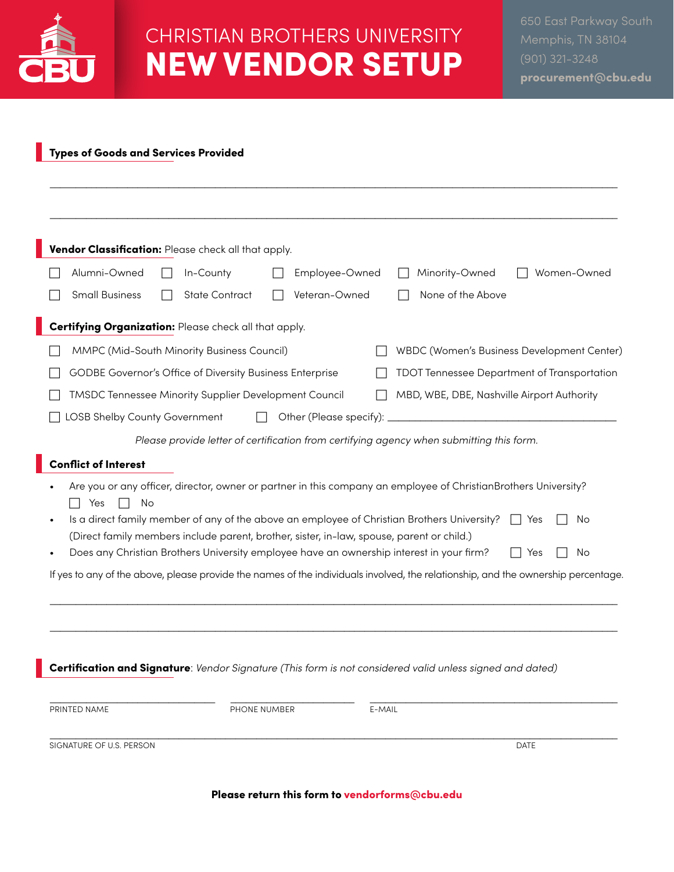

# CHRISTIAN BROTHERS UNIVERSITY NEW VENDOR SETUP

### Types of Goods and Services Provided

|                                                                                                                                                                                                                                                                                                                                                                                                                                                | Vendor Classification: Please check all that apply.      |  |                       |              |                |        |                                                                                                                                   |  |  |
|------------------------------------------------------------------------------------------------------------------------------------------------------------------------------------------------------------------------------------------------------------------------------------------------------------------------------------------------------------------------------------------------------------------------------------------------|----------------------------------------------------------|--|-----------------------|--------------|----------------|--------|-----------------------------------------------------------------------------------------------------------------------------------|--|--|
|                                                                                                                                                                                                                                                                                                                                                                                                                                                | Alumni-Owned                                             |  | In-County             |              | Employee-Owned |        | Minority-Owned<br>Women-Owned                                                                                                     |  |  |
|                                                                                                                                                                                                                                                                                                                                                                                                                                                | <b>Small Business</b>                                    |  | <b>State Contract</b> |              | Veteran-Owned  |        | None of the Above                                                                                                                 |  |  |
|                                                                                                                                                                                                                                                                                                                                                                                                                                                | Certifying Organization: Please check all that apply.    |  |                       |              |                |        |                                                                                                                                   |  |  |
|                                                                                                                                                                                                                                                                                                                                                                                                                                                | MMPC (Mid-South Minority Business Council)               |  |                       |              |                |        | WBDC (Women's Business Development Center)                                                                                        |  |  |
|                                                                                                                                                                                                                                                                                                                                                                                                                                                | GODBE Governor's Office of Diversity Business Enterprise |  |                       |              |                |        | <b>TDOT Tennessee Department of Transportation</b>                                                                                |  |  |
|                                                                                                                                                                                                                                                                                                                                                                                                                                                | TMSDC Tennessee Minority Supplier Development Council    |  |                       |              |                |        | MBD, WBE, DBE, Nashville Airport Authority                                                                                        |  |  |
|                                                                                                                                                                                                                                                                                                                                                                                                                                                | LOSB Shelby County Government<br>Other (Please specify): |  |                       |              |                |        |                                                                                                                                   |  |  |
|                                                                                                                                                                                                                                                                                                                                                                                                                                                |                                                          |  |                       |              |                |        | Please provide letter of certification from certifying agency when submitting this form.                                          |  |  |
|                                                                                                                                                                                                                                                                                                                                                                                                                                                | <b>Conflict of Interest</b>                              |  |                       |              |                |        |                                                                                                                                   |  |  |
| Are you or any officer, director, owner or partner in this company an employee of ChristianBrothers University?<br>Yes<br>No<br>Is a direct family member of any of the above an employee of Christian Brothers University?<br>No<br>Yes<br>(Direct family members include parent, brother, sister, in-law, spouse, parent or child.)<br>Does any Christian Brothers University employee have an ownership interest in your firm?<br>No<br>Yes |                                                          |  |                       |              |                |        |                                                                                                                                   |  |  |
|                                                                                                                                                                                                                                                                                                                                                                                                                                                |                                                          |  |                       |              |                |        | If yes to any of the above, please provide the names of the individuals involved, the relationship, and the ownership percentage. |  |  |
|                                                                                                                                                                                                                                                                                                                                                                                                                                                |                                                          |  |                       |              |                |        |                                                                                                                                   |  |  |
|                                                                                                                                                                                                                                                                                                                                                                                                                                                |                                                          |  |                       |              |                |        | Certification and Signature: Vendor Signature (This form is not considered valid unless signed and dated)                         |  |  |
|                                                                                                                                                                                                                                                                                                                                                                                                                                                | PRINTED NAME                                             |  |                       | PHONE NUMBER |                | E-MAIL |                                                                                                                                   |  |  |
|                                                                                                                                                                                                                                                                                                                                                                                                                                                | SIGNATURE OF U.S. PERSON                                 |  |                       |              |                |        | DATE                                                                                                                              |  |  |

Please return this form to vendorforms@cbu.edu